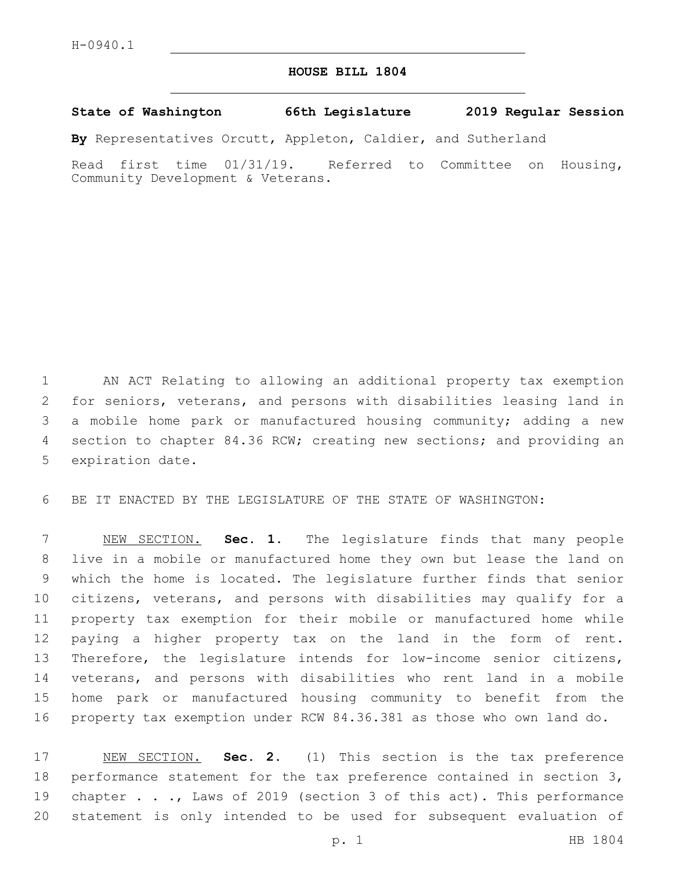## **HOUSE BILL 1804**

## **State of Washington 66th Legislature 2019 Regular Session**

**By** Representatives Orcutt, Appleton, Caldier, and Sutherland

Read first time 01/31/19. Referred to Committee on Housing, Community Development & Veterans.

 AN ACT Relating to allowing an additional property tax exemption for seniors, veterans, and persons with disabilities leasing land in a mobile home park or manufactured housing community; adding a new section to chapter 84.36 RCW; creating new sections; and providing an 5 expiration date.

BE IT ENACTED BY THE LEGISLATURE OF THE STATE OF WASHINGTON:

 NEW SECTION. **Sec. 1.** The legislature finds that many people live in a mobile or manufactured home they own but lease the land on which the home is located. The legislature further finds that senior citizens, veterans, and persons with disabilities may qualify for a property tax exemption for their mobile or manufactured home while paying a higher property tax on the land in the form of rent. Therefore, the legislature intends for low-income senior citizens, veterans, and persons with disabilities who rent land in a mobile home park or manufactured housing community to benefit from the property tax exemption under RCW 84.36.381 as those who own land do.

 NEW SECTION. **Sec. 2.** (1) This section is the tax preference performance statement for the tax preference contained in section 3, chapter . . ., Laws of 2019 (section 3 of this act). This performance statement is only intended to be used for subsequent evaluation of